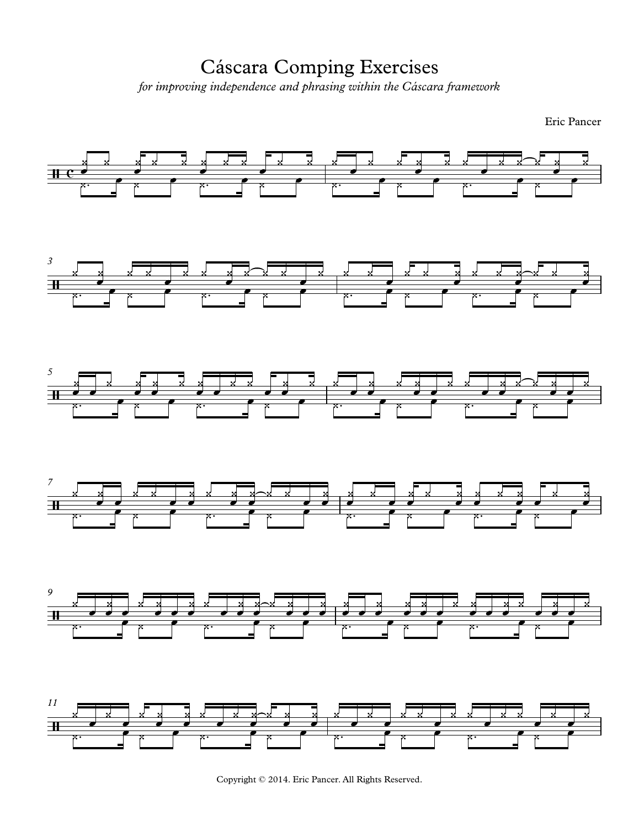Cáscara Comping Exercises for improving independence and phrasing within the Cáscara framework

Eric Pancer



Copyright © 2014. Eric Pancer. All Rights Reserved.